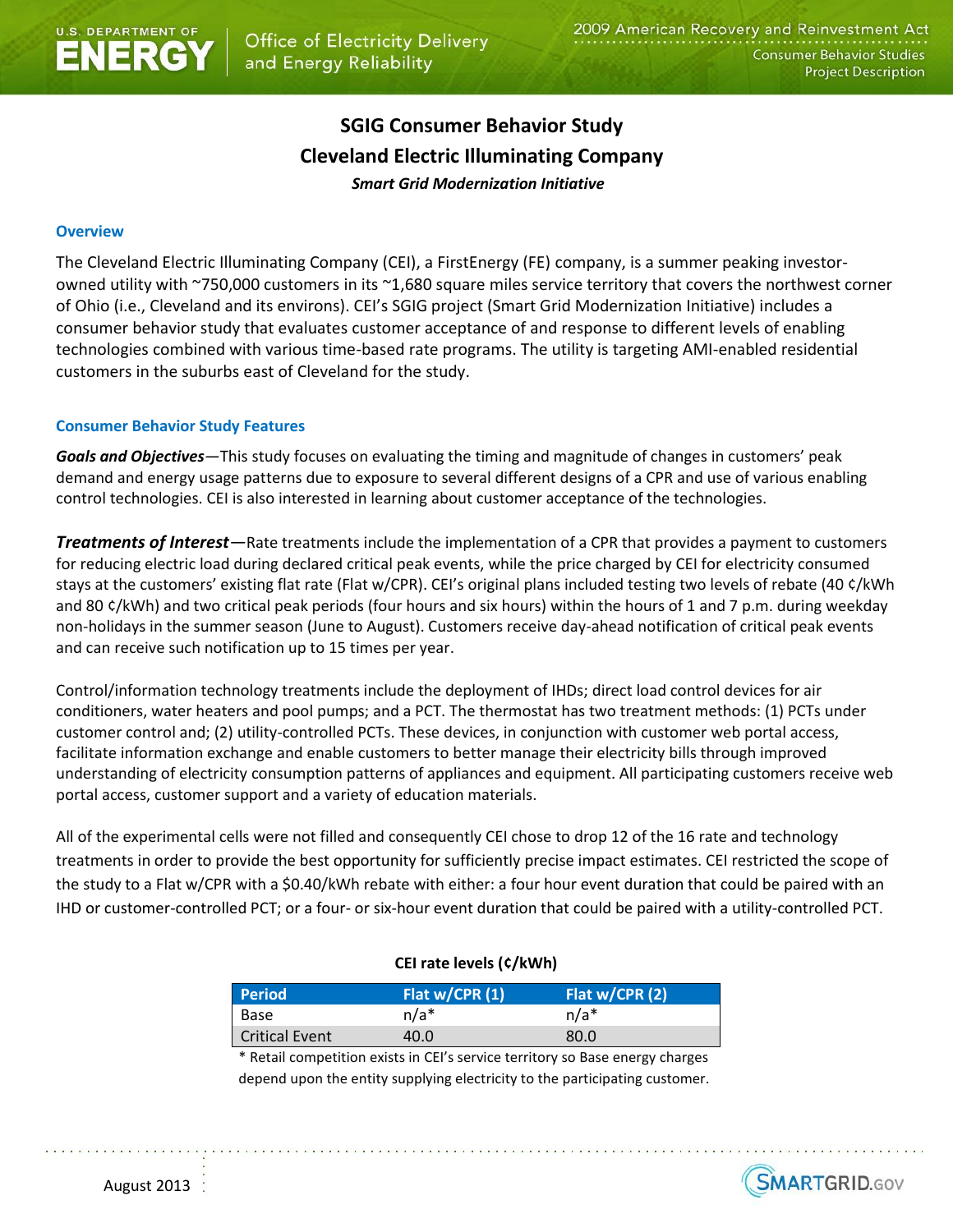# **SGIG Consumer Behavior Study Cleveland Electric Illuminating Company** *Smart Grid Modernization Initiative*

#### **Overview**

The Cleveland Electric Illuminating Company (CEI), a FirstEnergy (FE) company, is a summer peaking investorowned utility with ~750,000 customers in its ~1,680 square miles service territory that covers the northwest corner of Ohio (i.e., Cleveland and its environs). CEI's SGIG project (Smart Grid Modernization Initiative) includes a consumer behavior study that evaluates customer acceptance of and response to different levels of enabling technologies combined with various time-based rate programs. The utility is targeting AMI-enabled residential customers in the suburbs east of Cleveland for the study.

#### **Consumer Behavior Study Features**

*Goals and Objectives—*This study focuses on evaluating the timing and magnitude of changes in customers' peak demand and energy usage patterns due to exposure to several different designs of a CPR and use of various enabling control technologies. CEI is also interested in learning about customer acceptance of the technologies.

*Treatments of Interest—*Rate treatments include the implementation of a CPR that provides a payment to customers for reducing electric load during declared critical peak events, while the price charged by CEI for electricity consumed stays at the customers' existing flat rate (Flat w/CPR). CEI's original plans included testing two levels of rebate (40 ¢/kWh and 80 ¢/kWh) and two critical peak periods (four hours and six hours) within the hours of 1 and 7 p.m. during weekday non-holidays in the summer season (June to August). Customers receive day-ahead notification of critical peak events and can receive such notification up to 15 times per year.

Control/information technology treatments include the deployment of IHDs; direct load control devices for air conditioners, water heaters and pool pumps; and a PCT. The thermostat has two treatment methods: (1) PCTs under customer control and; (2) utility-controlled PCTs. These devices, in conjunction with customer web portal access, facilitate information exchange and enable customers to better manage their electricity bills through improved understanding of electricity consumption patterns of appliances and equipment. All participating customers receive web portal access, customer support and a variety of education materials.

All of the experimental cells were not filled and consequently CEI chose to drop 12 of the 16 rate and technology treatments in order to provide the best opportunity for sufficiently precise impact estimates. CEI restricted the scope of the study to a Flat w/CPR with a \$0.40/kWh rebate with either: a four hour event duration that could be paired with an IHD or customer-controlled PCT; or a four- or six-hour event duration that could be paired with a utility-controlled PCT.

#### **CEI rate levels (¢/kWh)**

| <b>Period</b>         | Flat $w/CPR(1)$ | Flat $w/CPR(2)$ |
|-----------------------|-----------------|-----------------|
| Base                  | $n/a*$          | $n/a*$          |
| <b>Critical Event</b> | 40.0            | 80.0            |

\* Retail competition exists in CEI's service territory so Base energy charges depend upon the entity supplying electricity to the participating customer.

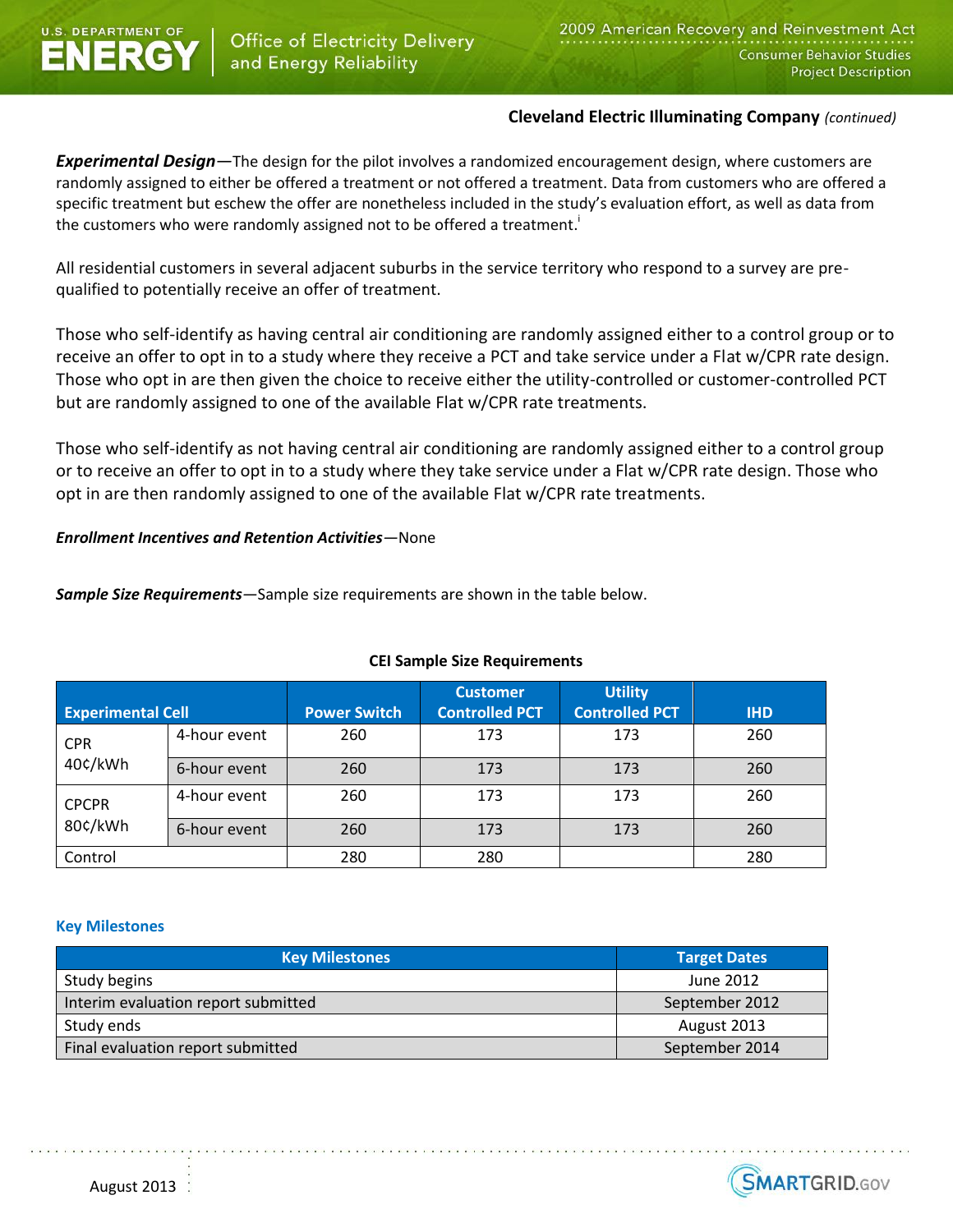

## **Cleveland Electric Illuminating Company** *(continued)*

*Experimental Design—*The design for the pilot involves a randomized encouragement design, where customers are randomly assigned to either be offered a treatment or not offered a treatment. Data from customers who are offered a specific treatment but eschew the offer are nonetheless included in the study's evaluation effort, as well as data from the customers who were randomly assigned not to be offered a treatment.<sup>i</sup>

All residential customers in several adjacent suburbs in the service territory who respond to a survey are prequalified to potentially receive an offer of treatment.

Those who self-identify as having central air conditioning are randomly assigned either to a control group or to receive an offer to opt in to a study where they receive a PCT and take service under a Flat w/CPR rate design. Those who opt in are then given the choice to receive either the utility-controlled or customer-controlled PCT but are randomly assigned to one of the available Flat w/CPR rate treatments.

Those who self-identify as not having central air conditioning are randomly assigned either to a control group or to receive an offer to opt in to a study where they take service under a Flat w/CPR rate design. Those who opt in are then randomly assigned to one of the available Flat w/CPR rate treatments.

## *Enrollment Incentives and Retention Activities—*None

*Sample Size Requirements—*Sample size requirements are shown in the table below.

|                          |              |                     | <b>Customer</b>       | <b>Utility</b>        |            |
|--------------------------|--------------|---------------------|-----------------------|-----------------------|------------|
| <b>Experimental Cell</b> |              | <b>Power Switch</b> | <b>Controlled PCT</b> | <b>Controlled PCT</b> | <b>IHD</b> |
| <b>CPR</b><br>40¢/kWh    | 4-hour event | 260                 | 173                   | 173                   | 260        |
|                          | 6-hour event | 260                 | 173                   | 173                   | 260        |
| <b>CPCPR</b><br>80¢/kWh  | 4-hour event | 260                 | 173                   | 173                   | 260        |
|                          | 6-hour event | 260                 | 173                   | 173                   | 260        |
| Control                  |              | 280                 | 280                   |                       | 280        |

## **CEI Sample Size Requirements**

#### **Key Milestones**

| <b>Key Milestones</b>               | <b>Target Dates</b> |  |
|-------------------------------------|---------------------|--|
| Study begins                        | June 2012           |  |
| Interim evaluation report submitted | September 2012      |  |
| Study ends                          | August 2013         |  |
| Final evaluation report submitted   | September 2014      |  |